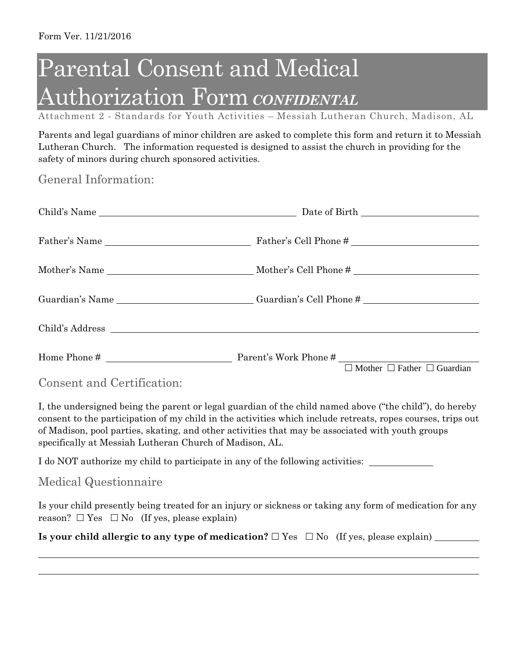## Parental Consent and Medical Authorization Form*CONFIDENTAL*

Attachment 2 - Standards for Youth Activities – Messiah Lutheran Church, Madison, AL

Parents and legal guardians of minor children are asked to complete this form and return it to Messiah Lutheran Church. The information requested is designed to assist the church in providing for the safety of minors during church sponsored activities.

General Information:

|                            | Guardian's Name ______________________________Guardian's Cell Phone # ______________________________ |
|----------------------------|------------------------------------------------------------------------------------------------------|
|                            |                                                                                                      |
|                            | $\Box$ Mother $\Box$ Father $\Box$ Guardian                                                          |
| Consent and Certification: |                                                                                                      |

I, the undersigned being the parent or legal guardian of the child named above ("the child"), do hereby consent to the participation of my child in the activities which include retreats, ropes courses, trips out of Madison, pool parties, skating, and other activities that may be associated with youth groups specifically at Messiah Lutheran Church of Madison, AL.

I do NOT authorize my child to participate in any of the following activities:

## Medical Questionnaire

Is your child presently being treated for an injury or sickness or taking any form of medication for any reason?  $\Box$  Yes  $\Box$  No (If yes, please explain)

**Is your child allergic to any type of medication?** Yes No (If yes, please explain)